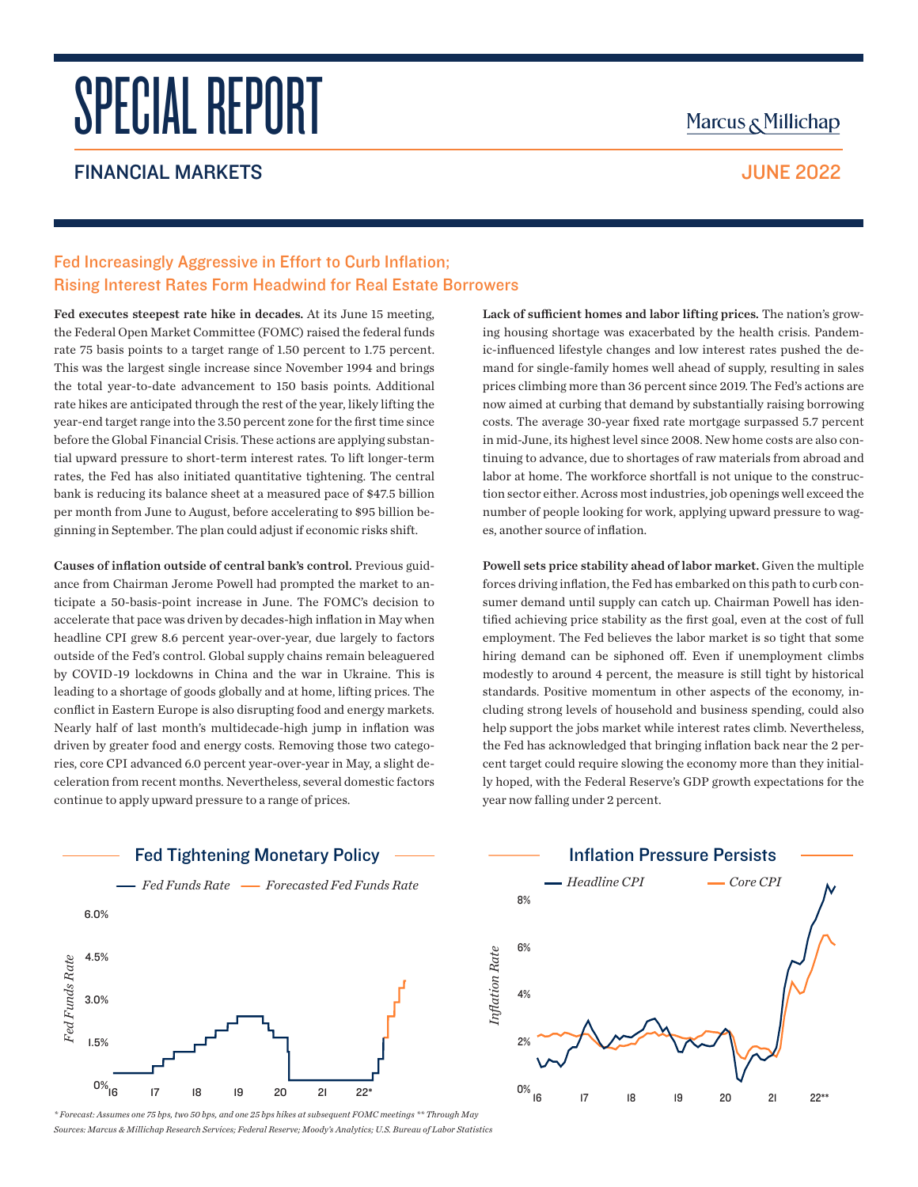# SPECIAL REPORT

## FINANCIAL MARKETS **SERVICES SERVICES SERVICES JUNE 2022**

## Marcus & Millichap

## Fed Increasingly Aggressive in Effort to Curb Inflation; Rising Interest Rates Form Headwind for Real Estate Borrowers

Fed executes steepest rate hike in decades. At its June 15 meeting, the Federal Open Market Committee (FOMC) raised the federal funds rate 75 basis points to a target range of 1.50 percent to 1.75 percent. This was the largest single increase since November 1994 and brings the total year-to-date advancement to 150 basis points. Additional rate hikes are anticipated through the rest of the year, likely lifting the year-end target range into the 3.50 percent zone for the first time since before the Global Financial Crisis. These actions are applying substantial upward pressure to short-term interest rates. To lift longer-term rates, the Fed has also initiated quantitative tightening. The central bank is reducing its balance sheet at a measured pace of \$47.5 billion per month from June to August, before accelerating to \$95 billion beginning in September. The plan could adjust if economic risks shift.

Causes of inflation outside of central bank's control. Previous guidance from Chairman Jerome Powell had prompted the market to anticipate a 50-basis-point increase in June. The FOMC's decision to accelerate that pace was driven by decades-high inflation in May when headline CPI grew 8.6 percent year-over-year, due largely to factors outside of the Fed's control. Global supply chains remain beleaguered by COVID-19 lockdowns in China and the war in Ukraine. This is leading to a shortage of goods globally and at home, lifting prices. The conflict in Eastern Europe is also disrupting food and energy markets. Nearly half of last month's multidecade-high jump in inflation was driven by greater food and energy costs. Removing those two categories, core CPI advanced 6.0 percent year-over-year in May, a slight deceleration from recent months. Nevertheless, several domestic factors continue to apply upward pressure to a range of prices.



*\* Forecast: Assumes one 75 bps, two 50 bps, and one 25 bps hikes at subsequent FOMC meetings \*\* Through May*

Lack of sufficient homes and labor lifting prices. The nation's growing housing shortage was exacerbated by the health crisis. Pandemic-influenced lifestyle changes and low interest rates pushed the demand for single-family homes well ahead of supply, resulting in sales prices climbing more than 36 percent since 2019. The Fed's actions are now aimed at curbing that demand by substantially raising borrowing costs. The average 30-year fixed rate mortgage surpassed 5.7 percent in mid-June, its highest level since 2008. New home costs are also continuing to advance, due to shortages of raw materials from abroad and labor at home. The workforce shortfall is not unique to the construction sector either. Across most industries, job openings well exceed the number of people looking for work, applying upward pressure to wages, another source of inflation.

Powell sets price stability ahead of labor market. Given the multiple forces driving inflation, the Fed has embarked on this path to curb consumer demand until supply can catch up. Chairman Powell has identified achieving price stability as the first goal, even at the cost of full employment. The Fed believes the labor market is so tight that some hiring demand can be siphoned off. Even if unemployment climbs modestly to around 4 percent, the measure is still tight by historical standards. Positive momentum in other aspects of the economy, including strong levels of household and business spending, could also help support the jobs market while interest rates climb. Nevertheless, the Fed has acknowledged that bringing inflation back near the 2 percent target could require slowing the economy more than they initially hoped, with the Federal Reserve's GDP growth expectations for the year now falling under 2 percent.